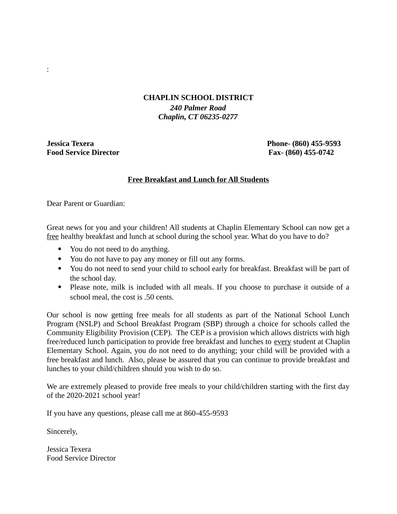## **CHAPLIN SCHOOL DISTRICT**

*240 Palmer Road Chaplin, CT 06235-0277*

**Jessica Texera Phone- (860) 455-9593 Food Service Director Fax- (860) 455-0742**

:

## **Free Breakfast and Lunch for All Students**

Dear Parent or Guardian:

Great news for you and your children! All students at Chaplin Elementary School can now get a free healthy breakfast and lunch at school during the school year. What do you have to do?

- You do not need to do anything.
- You do not have to pay any money or fill out any forms.
- You do not need to send your child to school early for breakfast. Breakfast will be part of the school day.
- Please note, milk is included with all meals. If you choose to purchase it outside of a school meal, the cost is .50 cents.

Our school is now getting free meals for all students as part of the National School Lunch Program (NSLP) and School Breakfast Program (SBP) through a choice for schools called the Community Eligibility Provision (CEP). The CEP is a provision which allows districts with high free/reduced lunch participation to provide free breakfast and lunches to every student at Chaplin Elementary School. Again, you do not need to do anything; your child will be provided with a free breakfast and lunch. Also, please be assured that you can continue to provide breakfast and lunches to your child/children should you wish to do so.

We are extremely pleased to provide free meals to your child/children starting with the first day of the 2020-2021 school year!

If you have any questions, please call me at 860-455-9593

Sincerely,

Jessica Texera Food Service Director